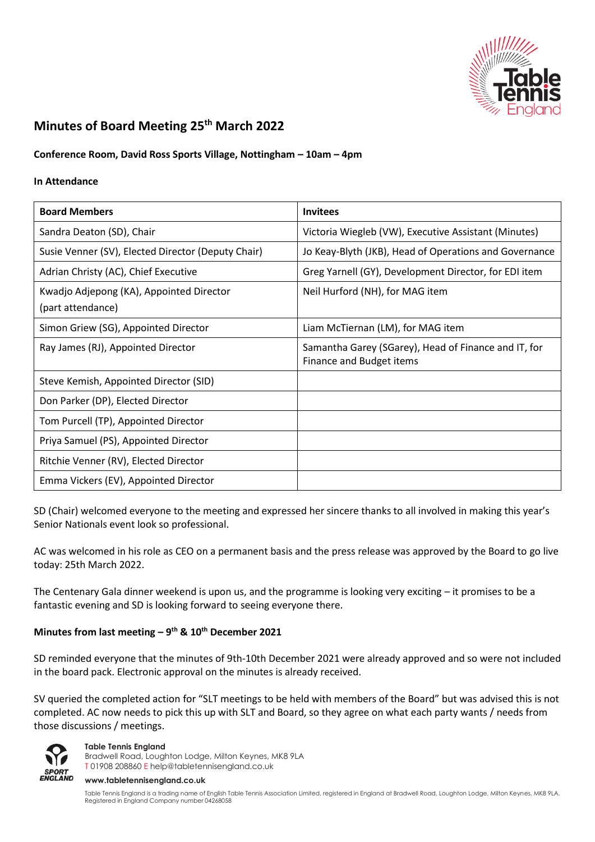

# **Minutes of Board Meeting 25th March 2022**

# **Conference Room, David Ross Sports Village, Nottingham – 10am – 4pm**

#### **In Attendance**

| <b>Board Members</b>                               | <b>Invitees</b>                                                                  |
|----------------------------------------------------|----------------------------------------------------------------------------------|
| Sandra Deaton (SD), Chair                          | Victoria Wiegleb (VW), Executive Assistant (Minutes)                             |
| Susie Venner (SV), Elected Director (Deputy Chair) | Jo Keay-Blyth (JKB), Head of Operations and Governance                           |
| Adrian Christy (AC), Chief Executive               | Greg Yarnell (GY), Development Director, for EDI item                            |
| Kwadjo Adjepong (KA), Appointed Director           | Neil Hurford (NH), for MAG item                                                  |
| (part attendance)                                  |                                                                                  |
| Simon Griew (SG), Appointed Director               | Liam McTiernan (LM), for MAG item                                                |
| Ray James (RJ), Appointed Director                 | Samantha Garey (SGarey), Head of Finance and IT, for<br>Finance and Budget items |
| Steve Kemish, Appointed Director (SID)             |                                                                                  |
| Don Parker (DP), Elected Director                  |                                                                                  |
| Tom Purcell (TP), Appointed Director               |                                                                                  |
| Priya Samuel (PS), Appointed Director              |                                                                                  |
| Ritchie Venner (RV), Elected Director              |                                                                                  |
| Emma Vickers (EV), Appointed Director              |                                                                                  |

SD (Chair) welcomed everyone to the meeting and expressed her sincere thanks to all involved in making this year's Senior Nationals event look so professional.

AC was welcomed in his role as CEO on a permanent basis and the press release was approved by the Board to go live today: 25th March 2022.

The Centenary Gala dinner weekend is upon us, and the programme is looking very exciting – it promises to be a fantastic evening and SD is looking forward to seeing everyone there.

# **Minutes from last meeting – 9 th & 10th December 2021**

SD reminded everyone that the minutes of 9th-10th December 2021 were already approved and so were not included in the board pack. Electronic approval on the minutes is already received.

SV queried the completed action for "SLT meetings to be held with members of the Board" but was advised this is not completed. AC now needs to pick this up with SLT and Board, so they agree on what each party wants / needs from those discussions / meetings.



**Table Tennis England**

Bradwell Road, Loughton Lodge, Milton Keynes, MK8 9LA T 01908 208860 [E help@tabletennisengland.co.uk](mailto:help@tabletennisengland.co.uk)

#### **[www.tabletennisengland.co.uk](http://www.tabletennisengland.co.uk/)**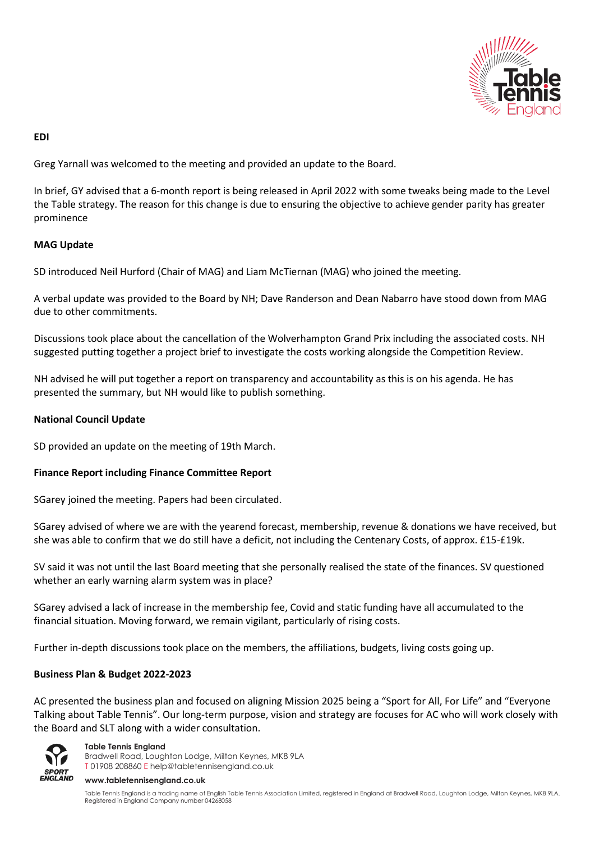

### **EDI**

Greg Yarnall was welcomed to the meeting and provided an update to the Board.

In brief, GY advised that a 6-month report is being released in April 2022 with some tweaks being made to the Level the Table strategy. The reason for this change is due to ensuring the objective to achieve gender parity has greater prominence

# **MAG Update**

SD introduced Neil Hurford (Chair of MAG) and Liam McTiernan (MAG) who joined the meeting.

A verbal update was provided to the Board by NH; Dave Randerson and Dean Nabarro have stood down from MAG due to other commitments.

Discussions took place about the cancellation of the Wolverhampton Grand Prix including the associated costs. NH suggested putting together a project brief to investigate the costs working alongside the Competition Review.

NH advised he will put together a report on transparency and accountability as this is on his agenda. He has presented the summary, but NH would like to publish something.

### **National Council Update**

SD provided an update on the meeting of 19th March.

#### **Finance Report including Finance Committee Report**

SGarey joined the meeting. Papers had been circulated.

SGarey advised of where we are with the yearend forecast, membership, revenue & donations we have received, but she was able to confirm that we do still have a deficit, not including the Centenary Costs, of approx. £15-£19k.

SV said it was not until the last Board meeting that she personally realised the state of the finances. SV questioned whether an early warning alarm system was in place?

SGarey advised a lack of increase in the membership fee, Covid and static funding have all accumulated to the financial situation. Moving forward, we remain vigilant, particularly of rising costs.

Further in-depth discussions took place on the members, the affiliations, budgets, living costs going up.

#### **Business Plan & Budget 2022-2023**

AC presented the business plan and focused on aligning Mission 2025 being a "Sport for All, For Life" and "Everyone Talking about Table Tennis". Our long-term purpose, vision and strategy are focuses for AC who will work closely with the Board and SLT along with a wider consultation.



#### **Table Tennis England**

Bradwell Road, Loughton Lodge, Milton Keynes, MK8 9LA T 01908 208860 [E help@tabletennisengland.co.uk](mailto:help@tabletennisengland.co.uk)

#### **[www.tabletennisengland.co.uk](http://www.tabletennisengland.co.uk/)**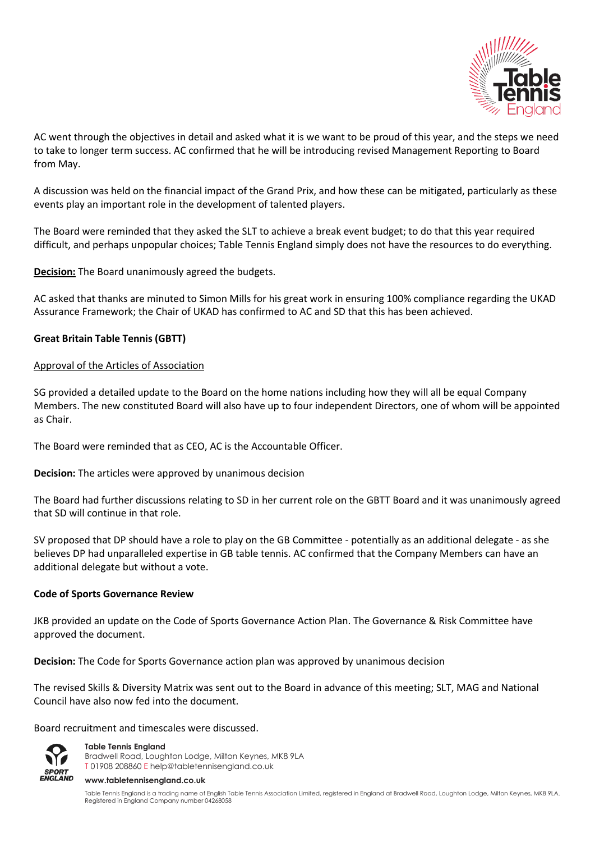

AC went through the objectives in detail and asked what it is we want to be proud of this year, and the steps we need to take to longer term success. AC confirmed that he will be introducing revised Management Reporting to Board from May.

A discussion was held on the financial impact of the Grand Prix, and how these can be mitigated, particularly as these events play an important role in the development of talented players.

The Board were reminded that they asked the SLT to achieve a break event budget; to do that this year required difficult, and perhaps unpopular choices; Table Tennis England simply does not have the resources to do everything.

**Decision:** The Board unanimously agreed the budgets.

AC asked that thanks are minuted to Simon Mills for his great work in ensuring 100% compliance regarding the UKAD Assurance Framework; the Chair of UKAD has confirmed to AC and SD that this has been achieved.

# **Great Britain Table Tennis (GBTT)**

#### Approval of the Articles of Association

SG provided a detailed update to the Board on the home nations including how they will all be equal Company Members. The new constituted Board will also have up to four independent Directors, one of whom will be appointed as Chair.

The Board were reminded that as CEO, AC is the Accountable Officer.

**Decision:** The articles were approved by unanimous decision

The Board had further discussions relating to SD in her current role on the GBTT Board and it was unanimously agreed that SD will continue in that role.

SV proposed that DP should have a role to play on the GB Committee - potentially as an additional delegate - as she believes DP had unparalleled expertise in GB table tennis. AC confirmed that the Company Members can have an additional delegate but without a vote.

#### **Code of Sports Governance Review**

JKB provided an update on the Code of Sports Governance Action Plan. The Governance & Risk Committee have approved the document.

**Decision:** The Code for Sports Governance action plan was approved by unanimous decision

The revised Skills & Diversity Matrix was sent out to the Board in advance of this meeting; SLT, MAG and National Council have also now fed into the document.

Board recruitment and timescales were discussed.



**Table Tennis England** Bradwell Road, Loughton Lodge, Milton Keynes, MK8 9LA T 01908 208860 [E help@tabletennisengland.co.uk](mailto:help@tabletennisengland.co.uk)

#### **[www.tabletennisengland.co.uk](http://www.tabletennisengland.co.uk/)**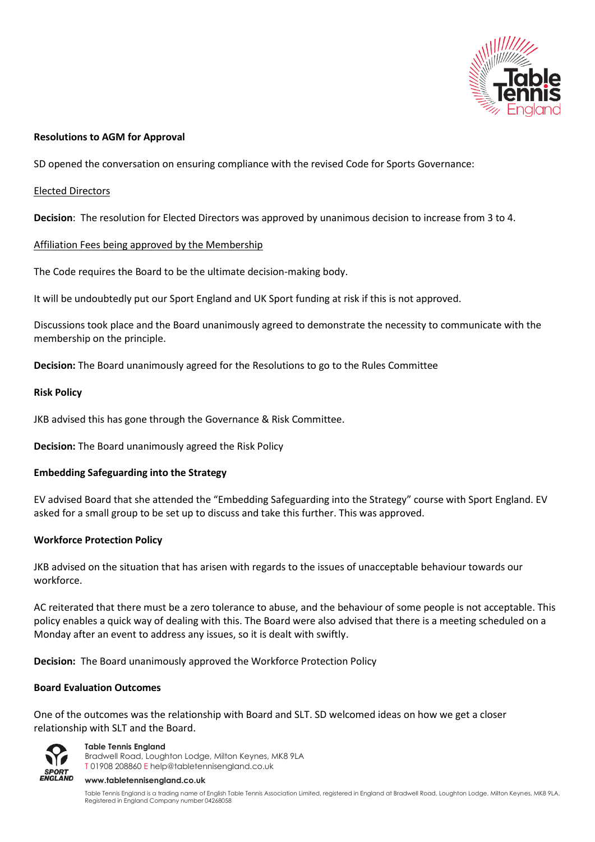

### **Resolutions to AGM for Approval**

SD opened the conversation on ensuring compliance with the revised Code for Sports Governance:

### Elected Directors

**Decision**: The resolution for Elected Directors was approved by unanimous decision to increase from 3 to 4.

# Affiliation Fees being approved by the Membership

The Code requires the Board to be the ultimate decision-making body.

It will be undoubtedly put our Sport England and UK Sport funding at risk if this is not approved.

Discussions took place and the Board unanimously agreed to demonstrate the necessity to communicate with the membership on the principle.

**Decision:** The Board unanimously agreed for the Resolutions to go to the Rules Committee

#### **Risk Policy**

JKB advised this has gone through the Governance & Risk Committee.

**Decision:** The Board unanimously agreed the Risk Policy

# **Embedding Safeguarding into the Strategy**

EV advised Board that she attended the "Embedding Safeguarding into the Strategy" course with Sport England. EV asked for a small group to be set up to discuss and take this further. This was approved.

# **Workforce Protection Policy**

JKB advised on the situation that has arisen with regards to the issues of unacceptable behaviour towards our workforce.

AC reiterated that there must be a zero tolerance to abuse, and the behaviour of some people is not acceptable. This policy enables a quick way of dealing with this. The Board were also advised that there is a meeting scheduled on a Monday after an event to address any issues, so it is dealt with swiftly.

**Decision:** The Board unanimously approved the Workforce Protection Policy

#### **Board Evaluation Outcomes**

One of the outcomes was the relationship with Board and SLT. SD welcomed ideas on how we get a closer relationship with SLT and the Board.



**Table Tennis England** Bradwell Road, Loughton Lodge, Milton Keynes, MK8 9LA T 01908 208860 [E help@tabletennisengland.co.uk](mailto:help@tabletennisengland.co.uk)

#### **[www.tabletennisengland.co.uk](http://www.tabletennisengland.co.uk/)**